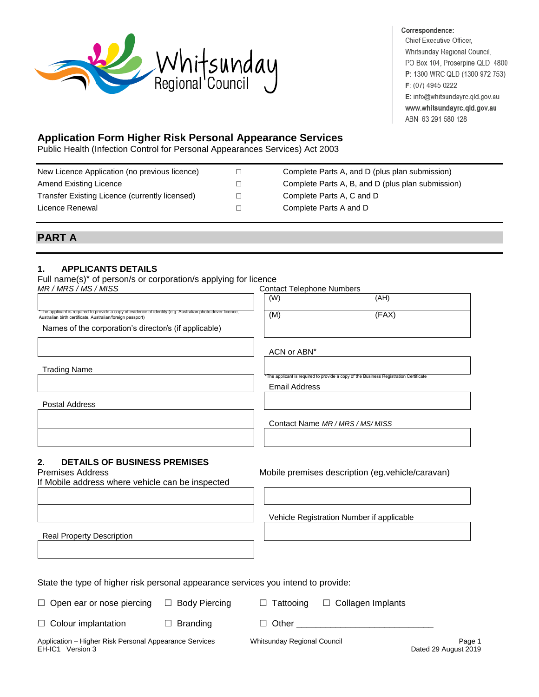

#### Correspondence:

Chief Executive Officer, Whitsunday Regional Council, PO Box 104, Proserpine QLD 4800 P: 1300 WRC QLD (1300 972 753) F: (07) 4945 0222 E: info@whitsundayrc.qld.gov.au www.whitsundayrc.qld.gov.au ABN 63 291 580 128

# **Application Form Higher Risk Personal Appearance Services**

Public Health (Infection Control for Personal Appearances Services) Act 2003

| New Licence Application (no previous licence)  |        | Complete Parts A, and D (plus plan submission)    |
|------------------------------------------------|--------|---------------------------------------------------|
| Amend Existing Licence                         |        | Complete Parts A, B, and D (plus plan submission) |
| Transfer Existing Licence (currently licensed) | $\Box$ | Complete Parts A, C and D                         |
| Licence Renewal                                |        | Complete Parts A and D                            |
|                                                |        |                                                   |

## **PART A**

### **1. APPLICANTS DETAILS**

Full name(s)\* of person/s or corporation/s applying for licence

| MR / MRS / MS / MISS                                                                                                                                                      |                      | <b>Contact Telephone Numbers</b> |                                                                                               |                                |
|---------------------------------------------------------------------------------------------------------------------------------------------------------------------------|----------------------|----------------------------------|-----------------------------------------------------------------------------------------------|--------------------------------|
|                                                                                                                                                                           |                      | (W)                              | (AH)                                                                                          |                                |
| *The applicant is required to provide a copy of evidence of identity (e.g. Australian photo driver licence,<br>Australian birth certificate, Australian/foreign passport) |                      | (M)                              | (FAX)                                                                                         |                                |
| Names of the corporation's director/s (if applicable)                                                                                                                     |                      |                                  |                                                                                               |                                |
|                                                                                                                                                                           |                      | ACN or ABN*                      |                                                                                               |                                |
| <b>Trading Name</b>                                                                                                                                                       |                      |                                  | *The applicant is required to provide a copy of the Business Registration Certificate         |                                |
|                                                                                                                                                                           |                      | <b>Email Address</b>             |                                                                                               |                                |
| <b>Postal Address</b>                                                                                                                                                     |                      |                                  |                                                                                               |                                |
|                                                                                                                                                                           |                      |                                  | Contact Name MR / MRS / MS/ MISS                                                              |                                |
|                                                                                                                                                                           |                      |                                  |                                                                                               |                                |
| <b>DETAILS OF BUSINESS PREMISES</b><br>2.<br><b>Premises Address</b><br>If Mobile address where vehicle can be inspected                                                  |                      |                                  | Mobile premises description (eg.vehicle/caravan)<br>Vehicle Registration Number if applicable |                                |
| <b>Real Property Description</b>                                                                                                                                          |                      |                                  |                                                                                               |                                |
|                                                                                                                                                                           |                      |                                  |                                                                                               |                                |
| State the type of higher risk personal appearance services you intend to provide:                                                                                         |                      |                                  |                                                                                               |                                |
| Open ear or nose piercing                                                                                                                                                 | $\Box$ Body Piercing | $\Box$ Tattooing                 | $\Box$ Collagen Implants                                                                      |                                |
| Colour implantation<br>$\Box$                                                                                                                                             | $\Box$ Branding      |                                  |                                                                                               |                                |
| Application - Higher Risk Personal Appearance Services<br>EH-IC1 Version 3                                                                                                |                      | Whitsunday Regional Council      |                                                                                               | Page 1<br>Dated 29 August 2019 |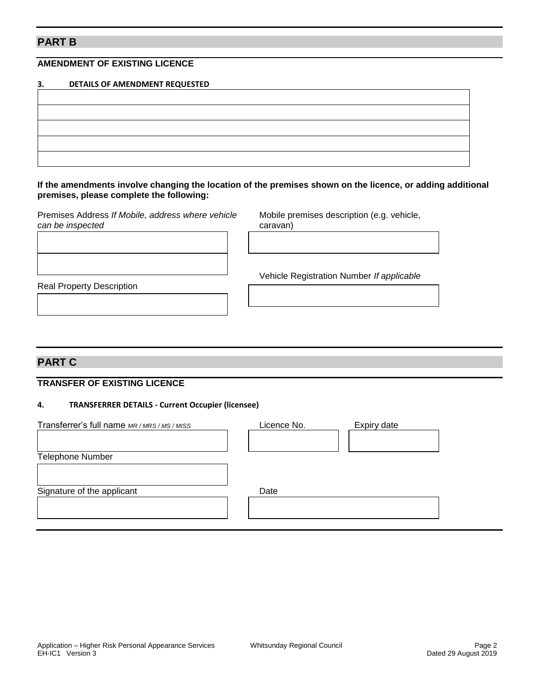## **PART B**

### **AMENDMENT OF EXISTING LICENCE**

| 3. | DETAILS OF AMENDMENT REQUESTED |
|----|--------------------------------|
|    |                                |
|    |                                |
|    |                                |
|    |                                |
|    |                                |

#### **If the amendments involve changing the location of the premises shown on the licence, or adding additional premises, please complete the following:**

Premises Address *If Mobile, address where vehicle* Mobile premises description (e.g. vehicle, *can be inspected* caravan)

Vehicle Registration Number *If applicable*

Real Property Description

# **PART C**

#### **TRANSFER OF EXISTING LICENCE**

#### **4. TRANSFERRER DETAILS - Current Occupier (licensee)**

| Transferrer's full name MR/MRS/MS/MISS | Licence No. | Expiry date |  |
|----------------------------------------|-------------|-------------|--|
|                                        |             |             |  |
| Telephone Number                       |             |             |  |
|                                        |             |             |  |
| Signature of the applicant             | Date        |             |  |
|                                        |             |             |  |
|                                        |             |             |  |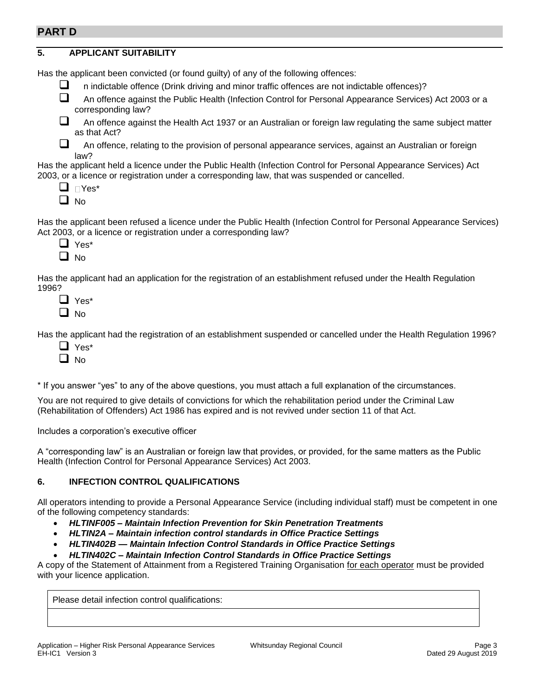## **PART D**

| <b>APPLICANT SUITABILITY</b><br>5.                                                                                                                                                                                                                   |  |  |  |  |
|------------------------------------------------------------------------------------------------------------------------------------------------------------------------------------------------------------------------------------------------------|--|--|--|--|
| Has the applicant been convicted (or found guilty) of any of the following offences:                                                                                                                                                                 |  |  |  |  |
| ப<br>n indictable offence (Drink driving and minor traffic offences are not indictable offences)?                                                                                                                                                    |  |  |  |  |
| An offence against the Public Health (Infection Control for Personal Appearance Services) Act 2003 or a<br>corresponding law?                                                                                                                        |  |  |  |  |
| An offence against the Health Act 1937 or an Australian or foreign law regulating the same subject matter<br>as that Act?                                                                                                                            |  |  |  |  |
| An offence, relating to the provision of personal appearance services, against an Australian or foreign<br>law?                                                                                                                                      |  |  |  |  |
| Has the applicant held a licence under the Public Health (Infection Control for Personal Appearance Services) Act<br>2003, or a licence or registration under a corresponding law, that was suspended or cancelled.<br>$\Box$ $\Box$ Yes*<br>ப<br>No |  |  |  |  |
| Has the applicant been refused a licence under the Public Health (Infection Control for Personal Appearance Services)<br>Act 2003, or a licence or registration under a corresponding law?<br>$\Box$ Yes <sup>*</sup><br>$\Box$ No                   |  |  |  |  |
| Has the applicant had an application for the registration of an establishment refused under the Health Regulation<br>1996?<br>Yes*<br>No                                                                                                             |  |  |  |  |

Has the applicant had the registration of an establishment suspended or cancelled under the Health Regulation 1996?

- ❑ Yes\*
- ❑ No

\* If you answer "yes" to any of the above questions, you must attach a full explanation of the circumstances.

You are not required to give details of convictions for which the rehabilitation period under the Criminal Law (Rehabilitation of Offenders) Act 1986 has expired and is not revived under section 11 of that Act.

Includes a corporation's executive officer

A "corresponding law" is an Australian or foreign law that provides, or provided, for the same matters as the Public Health (Infection Control for Personal Appearance Services) Act 2003.

### **6. INFECTION CONTROL QUALIFICATIONS**

All operators intending to provide a Personal Appearance Service (including individual staff) must be competent in one of the following competency standards:

- *HLTINF005 – Maintain Infection Prevention for Skin Penetration Treatments*
- *HLTIN2A – Maintain infection control standards in Office Practice Settings*
- *HLTIN402B — Maintain Infection Control Standards in Office Practice Settings*
- *HLTIN402C – Maintain Infection Control Standards in Office Practice Settings*

A copy of the Statement of Attainment from a Registered Training Organisation for each operator must be provided with your licence application.

Please detail infection control qualifications: